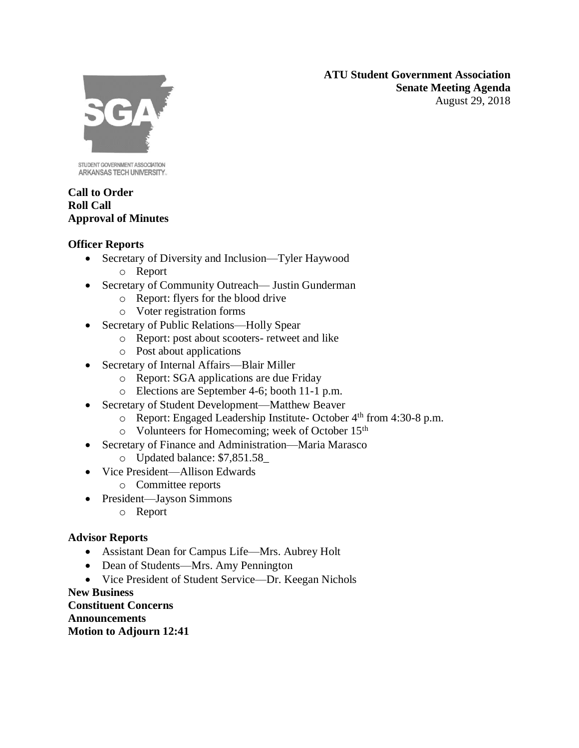**ATU Student Government Association Senate Meeting Agenda** August 29, 2018



STUDENT GOVERNMENT ASSOCIATION ARKANSAS TECH UNIVERSITY.

### **Call to Order Roll Call Approval of Minutes**

## **Officer Reports**

- Secretary of Diversity and Inclusion—Tyler Haywood
	- o Report
- Secretary of Community Outreach— Justin Gunderman
	- o Report: flyers for the blood drive
	- o Voter registration forms
- Secretary of Public Relations—Holly Spear
	- o Report: post about scooters- retweet and like
	- o Post about applications
- Secretary of Internal Affairs—Blair Miller
	- o Report: SGA applications are due Friday
	- o Elections are September 4-6; booth 11-1 p.m.
- Secretary of Student Development—Matthew Beaver
	- o Report: Engaged Leadership Institute- October 4th from 4:30-8 p.m.
	- o Volunteers for Homecoming; week of October 15th
- Secretary of Finance and Administration—Maria Marasco
	- o Updated balance: \$7,851.58\_
- Vice President—Allison Edwards
	- o Committee reports
- President—Jayson Simmons
	- o Report

## **Advisor Reports**

- Assistant Dean for Campus Life—Mrs. Aubrey Holt
- Dean of Students—Mrs. Amy Pennington
- Vice President of Student Service—Dr. Keegan Nichols

**New Business Constituent Concerns Announcements Motion to Adjourn 12:41**